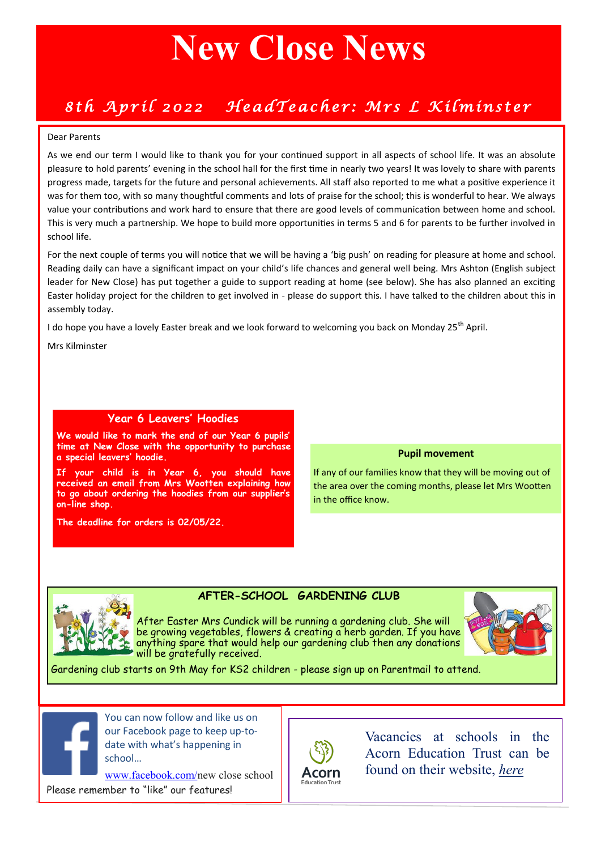# **New Close News**

### *8th April 2022 HeadTeacher: Mrs L Kilminster*

#### Dear Parents

As we end our term I would like to thank you for your continued support in all aspects of school life. It was an absolute pleasure to hold parents' evening in the school hall for the first time in nearly two years! It was lovely to share with parents progress made, targets for the future and personal achievements. All staff also reported to me what a positive experience it was for them too, with so many thoughtful comments and lots of praise for the school; this is wonderful to hear. We always value your contributions and work hard to ensure that there are good levels of communication between home and school. This is very much a partnership. We hope to build more opportunities in terms 5 and 6 for parents to be further involved in school life.

For the next couple of terms you will notice that we will be having a 'big push' on reading for pleasure at home and school. Reading daily can have a significant impact on your child's life chances and general well being. Mrs Ashton (English subject leader for New Close) has put together a guide to support reading at home (see below). She has also planned an exciting Easter holiday project for the children to get involved in - please do support this. I have talked to the children about this in assembly today.

I do hope you have a lovely Easter break and we look forward to welcoming you back on Monday 25<sup>th</sup> April.

Mrs Kilminster

### **Year 6 Leavers' Hoodies**

**We would like to mark the end of our Year 6 pupils' time at New Close with the opportunity to purchase a special leavers' hoodie.**

**If your child is in Year 6, you should have received an email from Mrs Wootten explaining how to go about ordering the hoodies from our supplier's on-line shop.** 

**The deadline for orders is 02/05/22.**

#### **Pupil movement**

If any of our families know that they will be moving out of the area over the coming months, please let Mrs Wootten in the office know.



### **AFTER-SCHOOL GARDENING CLUB**

After Easter Mrs Cundick will be running a gardening club. She will be growing vegetables, flowers & creating a herb garden. If you have anything spare that would help our gardening club then any donations will be gratefully received.



Gardening club starts on 9th May for KS2 children - please sign up on Parentmail to attend.



You can now follow and like us on our Facebook page to keep up-todate with what's happening in school…

[www.facebook.com/n](http://www.facebook.com/newcloseschool)ew close school

Please remember to "like" our features!



Vacancies at schools in the Acorn Education Trust can be found on their website, *[here](https://www.acorneducationtrust.com/972/current-vacancies)*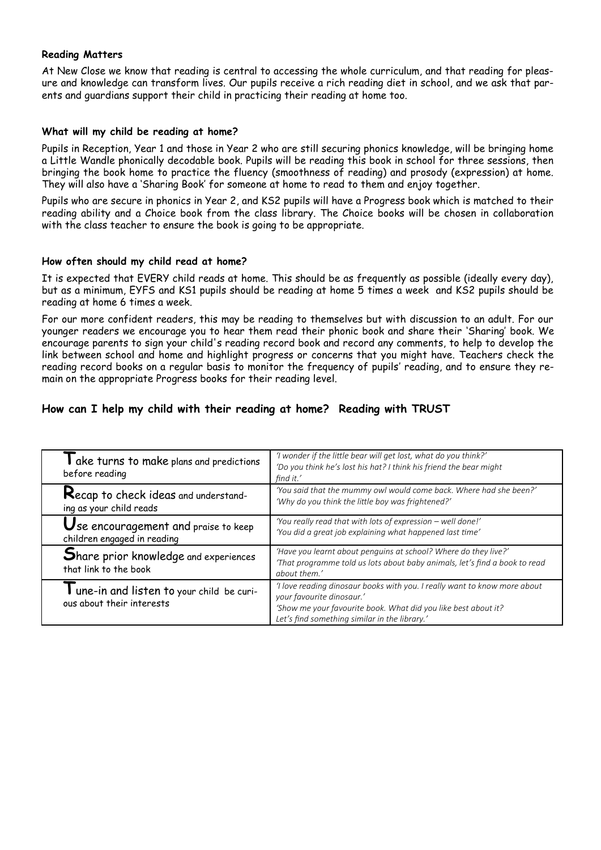### **Reading Matters**

At New Close we know that reading is central to accessing the whole curriculum, and that reading for pleasure and knowledge can transform lives. Our pupils receive a rich reading diet in school, and we ask that parents and guardians support their child in practicing their reading at home too.

### **What will my child be reading at home?**

Pupils in Reception, Year 1 and those in Year 2 who are still securing phonics knowledge, will be bringing home a Little Wandle phonically decodable book. Pupils will be reading this book in school for three sessions, then bringing the book home to practice the fluency (smoothness of reading) and prosody (expression) at home. They will also have a 'Sharing Book' for someone at home to read to them and enjoy together.

Pupils who are secure in phonics in Year 2, and KS2 pupils will have a Progress book which is matched to their reading ability and a Choice book from the class library. The Choice books will be chosen in collaboration with the class teacher to ensure the book is going to be appropriate.

### **How often should my child read at home?**

It is expected that EVERY child reads at home. This should be as frequently as possible (ideally every day), but as a minimum, EYFS and KS1 pupils should be reading at home 5 times a week and KS2 pupils should be reading at home 6 times a week.

For our more confident readers, this may be reading to themselves but with discussion to an adult. For our younger readers we encourage you to hear them read their phonic book and share their 'Sharing' book. We encourage parents to sign your child's reading record book and record any comments, to help to develop the link between school and home and highlight progress or concerns that you might have. Teachers check the reading record books on a regular basis to monitor the frequency of pupils' reading, and to ensure they remain on the appropriate Progress books for their reading level.

### **How can I help my child with their reading at home? Reading with TRUST**

| I ake turns to make plans and predictions<br>before reading             | 'I wonder if the little bear will get lost, what do you think?'<br>'Do you think he's lost his hat? I think his friend the bear might<br>find it.'                                                                        |  |  |
|-------------------------------------------------------------------------|---------------------------------------------------------------------------------------------------------------------------------------------------------------------------------------------------------------------------|--|--|
| Recap to check ideas and understand-<br>ing as your child reads         | 'You said that the mummy owl would come back. Where had she been?'<br>'Why do you think the little boy was frightened?'                                                                                                   |  |  |
| Use encouragement and praise to keep<br>children engaged in reading     | 'You really read that with lots of expression - well done!'<br>'You did a great job explaining what happened last time'                                                                                                   |  |  |
| Share prior knowledge and experiences<br>that link to the book          | 'Have you learnt about penguins at school? Where do they live?'<br>'That programme told us lots about baby animals, let's find a book to read<br>about them.'                                                             |  |  |
| I une-in and listen to your child be curi-<br>ous about their interests | 'I love reading dinosaur books with you. I really want to know more about<br>your favourite dinosaur.'<br>'Show me your favourite book. What did you like best about it?<br>Let's find something similar in the library.' |  |  |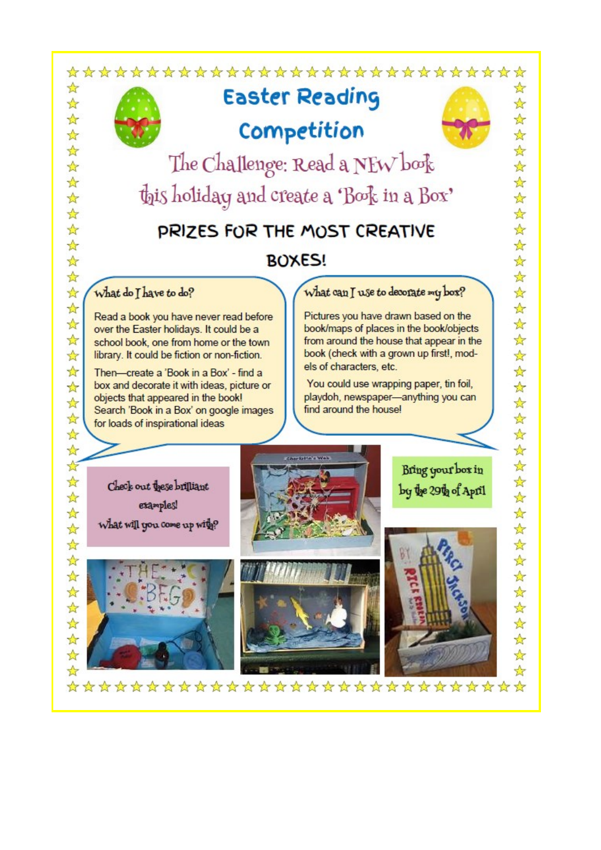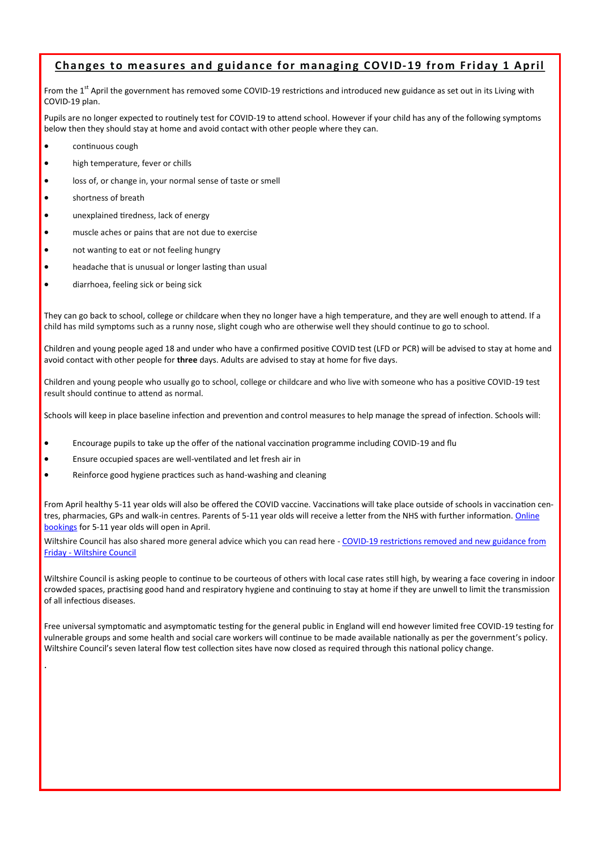### **Changes to measures and guidance for managing COVID-19 from Friday 1 April**

From the 1<sup>st</sup> April the government has removed some COVID-19 restrictions and introduced new guidance as set out in its Living with COVID-19 plan.

Pupils are no longer expected to routinely test for COVID-19 to attend school. However if your child has any of the following symptoms below then they should stay at home and avoid contact with other people where they can.

- continuous cough
- high temperature, fever or chills
- loss of, or change in, your normal sense of taste or smell
- shortness of breath

.

- unexplained tiredness, lack of energy
- muscle aches or pains that are not due to exercise
- not wanting to eat or not feeling hungry
- headache that is unusual or longer lasting than usual
- diarrhoea, feeling sick or being sick

They can go back to school, college or childcare when they no longer have a high temperature, and they are well enough to attend. If a child has mild symptoms such as a runny nose, slight cough who are otherwise well they should continue to go to school.

Children and young people aged 18 and under who have a confirmed positive COVID test (LFD or PCR) will be advised to stay at home and avoid contact with other people for **three** days. Adults are advised to stay at home for five days.

Children and young people who usually go to school, college or childcare and who live with someone who has a positive COVID-19 test result should continue to attend as normal.

Schools will keep in place baseline infection and prevention and control measures to help manage the spread of infection. Schools will:

- Encourage pupils to take up the offer of the national vaccination programme including COVID-19 and flu
- Ensure occupied spaces are well-ventilated and let fresh air in
- Reinforce good hygiene practices such as hand-washing and cleaning

From April healthy 5-11 year olds will also be offered the COVID vaccine. Vaccinations will take place outside of schools in vaccination centres, pharmacies, GPs and walk-in centres. Parents of 5-11 year olds will receive a letter from the NHS with further information. [Online](https://eur02.safelinks.protection.outlook.com/?url=https%3A%2F%2Fwww.nhs.uk%2Fconditions%2Fcoronavirus-covid-19%2Fcoronavirus-vaccination%2Fbook-coronavirus-vaccination%2F&data=04%7C01%7CHelean.Hughes%40wiltshire.gov.uk%7Caee682e8e6954c8c828f08da13cbb44a%7C5)  [bookings](https://eur02.safelinks.protection.outlook.com/?url=https%3A%2F%2Fwww.nhs.uk%2Fconditions%2Fcoronavirus-covid-19%2Fcoronavirus-vaccination%2Fbook-coronavirus-vaccination%2F&data=04%7C01%7CHelean.Hughes%40wiltshire.gov.uk%7Caee682e8e6954c8c828f08da13cbb44a%7C5) for 5-11 year olds will open in April.

Wiltshire Council has also shared more general advice which you can read here - COVID-[19 restrictions removed and new guidance from](https://eur02.safelinks.protection.outlook.com/?url=https%3A%2F%2Fwww.wiltshire.gov.uk%2Fnews%2Fcovid-restrictions-removed-and-new-guidance-from-friday&data=04%7C01%7CHelean.Hughes%40wiltshire.gov.uk%7Caee682e8e6954c8c828f08da13cbb44a%7C5546e75e3be14813b0ff26)  Friday - [Wiltshire Council](https://eur02.safelinks.protection.outlook.com/?url=https%3A%2F%2Fwww.wiltshire.gov.uk%2Fnews%2Fcovid-restrictions-removed-and-new-guidance-from-friday&data=04%7C01%7CHelean.Hughes%40wiltshire.gov.uk%7Caee682e8e6954c8c828f08da13cbb44a%7C5546e75e3be14813b0ff26)

Wiltshire Council is asking people to continue to be courteous of others with local case rates still high, by wearing a face covering in indoor crowded spaces, practising good hand and respiratory hygiene and continuing to stay at home if they are unwell to limit the transmission of all infectious diseases.

Free universal symptomatic and asymptomatic testing for the general public in England will end however limited free COVID-19 testing for vulnerable groups and some health and social care workers will continue to be made available nationally as per the government's policy. Wiltshire Council's seven lateral flow test collection sites have now closed as required through this national policy change.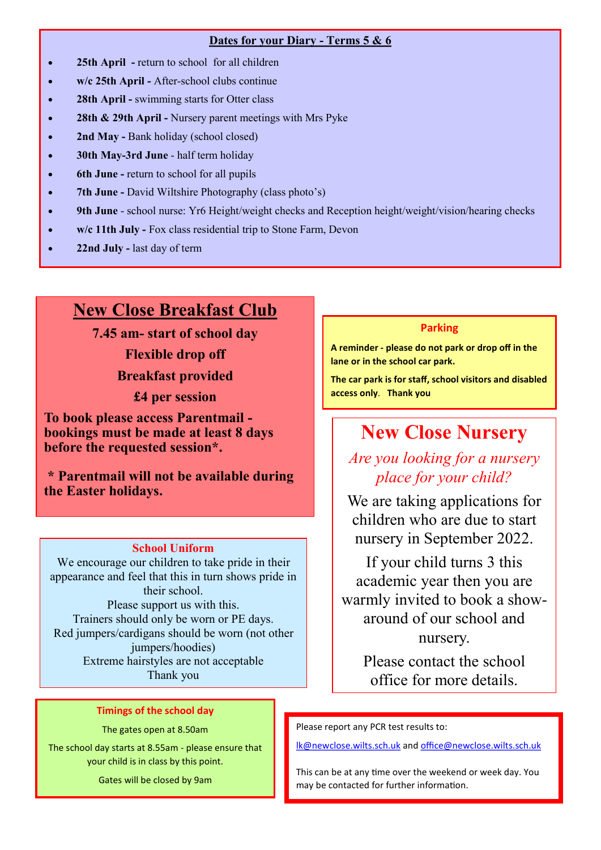### **Dates for your Diary - Terms 5 & 6**

- **25th April -** return to school for all children
- **w/c 25th April -** After-school clubs continue
- **28th April -** swimming starts for Otter class
- **28th & 29th April -** Nursery parent meetings with Mrs Pyke
- **2nd May -** Bank holiday (school closed)
- **30th May-3rd June**  half term holiday
- **6th June -** return to school for all pupils
- **7th June -** David Wiltshire Photography (class photo's)
- **9th June**  school nurse: Yr6 Height/weight checks and Reception height/weight/vision/hearing checks
- **w/c 11th July -** Fox class residential trip to Stone Farm, Devon
- **22nd July -** last day of term

### **New Close Breakfast Club**

**7.45 am- start of school day Flexible drop off Breakfast provided**

**£4 per session**

**To book please access Parentmail bookings must be made at least 8 days before the requested session\*.** 

**\* Parentmail will not be available during the Easter holidays.**

### **School Uniform**

We encourage our children to take pride in their appearance and feel that this in turn shows pride in their school. Please support us with this. Trainers should only be worn or PE days. Red jumpers/cardigans should be worn (not other jumpers/hoodies) Extreme hairstyles are not acceptable Thank you

### **Timings of the school day**

The gates open at 8.50am

The school day starts at 8.55am - please ensure that your child is in class by this point.

Gates will be closed by 9am

### **Parking**

**A reminder - please do not park or drop off in the lane or in the school car park.** 

**The car park is for staff, school visitors and disabled access only**. **Thank you**

### **New Close Nursery**

### *Are you looking for a nursery place for your child?*

We are taking applications for children who are due to start nursery in September 2022.

If your child turns 3 this academic year then you are warmly invited to book a showaround of our school and nursery.

Please contact the school office for more details.

Please report any PCR test results to:

[lk@newclose.wilts.sch.uk](mailto:lk@newclose.wilts.sch.uk) and [office@newclose.wilts.sch.uk](mailto:office@newclose.wilts.sch.uk)

This can be at any time over the weekend or week day. You may be contacted for further information.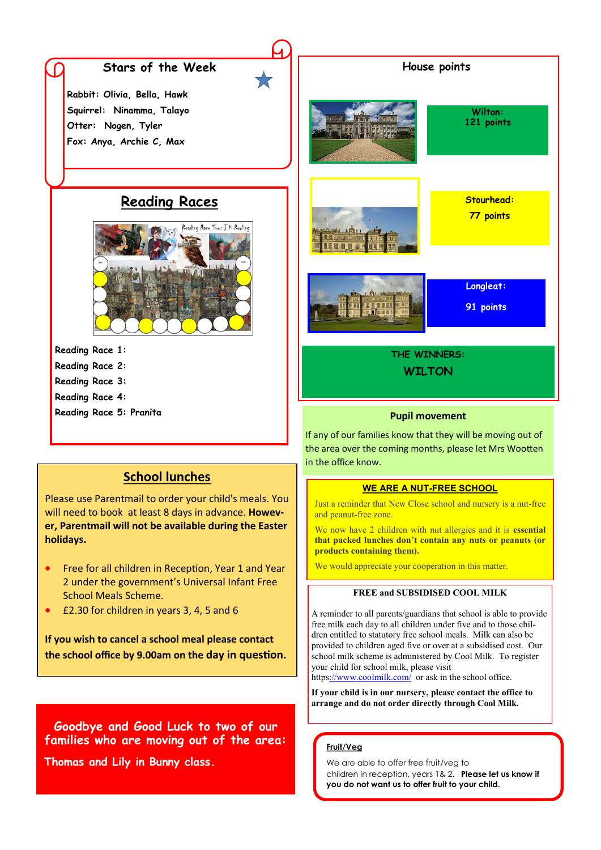### **Stars of the Week** <br>**House points**

**Rabbit: Olivia, Bella, Hawk Squirrel: Ninamma, Talayo Otter: Nogen, Tyler Fox: Anya, Archie C, Max**

### **Reading Races**



**Reading Race 1:** 

- **Reading Race 2:**
- **Reading Race 3:**
- **Reading Race 4:**
- **Reading Race 5: Pranita**



**Stourhead: 77 points** 

**Longleat:** 

**91 points** 

**Wilton: 121 points** 



**WILTON**

#### **Pupil movement**

If any of our families know that they will be moving out of the area over the coming months, please let Mrs Wootten in the office know.

### **WE ARE A NUT-FREE SCHOOL**

Just a reminder that New Close school and nursery is a nut-free and peanut-free zone.

We now have 2 children with nut allergies and it is **essential that packed lunches don't contain any nuts or peanuts (or products containing them).** 

We would appreciate your cooperation in this matter.

#### **FREE and SUBSIDISED COOL MILK**

A reminder to all parents/guardians that school is able to provide free milk each day to all children under five and to those children entitled to statutory free school meals. Milk can also be provided to children aged five or over at a subsidised cost. Our school milk scheme is administered by Cool Milk. To register your child for school milk, please visit

http[s://www.coolmilk.com/](https://www.coolmilk.com/) or ask in the school office.

**If your child is in our nursery, please contact the office to arrange and do not order directly through Cool Milk.**

### **Fruit/Veg**

We are able to offer free fruit/veg to children in reception, years 1& 2. **Please let us know if you do not want us to offer fruit to your child.**

### **School lunches**

Please use Parentmail to order your child's meals. You will need to book at least 8 days in advance. **However, Parentmail will not be available during the Easter holidays.**

- Free for all children in Reception, Year 1 and Year 2 under the government's Universal Infant Free School Meals Scheme.
- £2.30 for children in years 3, 4, 5 and 6

**If you wish to cancel a school meal please contact the school office by 9.00am on the day in question.** 

**Goodbye and Good Luck to two of our families who are moving out of the area:**

**Thomas and Lily in Bunny class.**